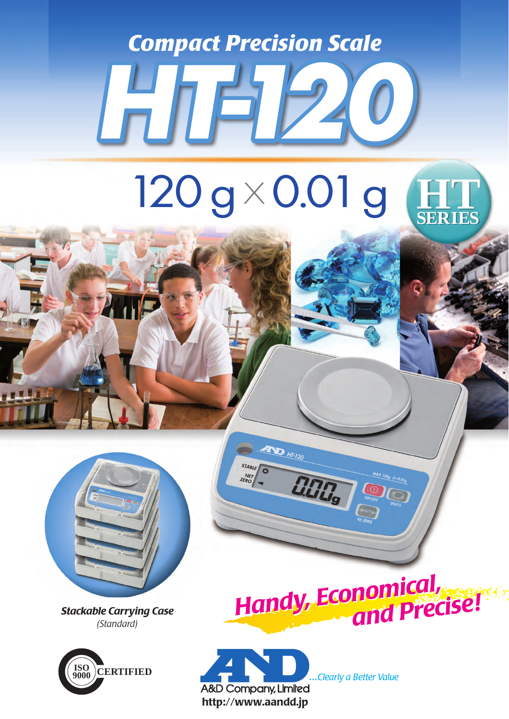*Compact Precision Scale*

*HT-120*

## 120 g × 0.01 g **HTT SERIES**



*Stackable Carrying Case (Standard)*



*Handy, Economical, and Precise! Handy, Economical, and Precise!*



**EXECUTE HT-120** 

**ELTE** 

STABLE

NET<sub>KO</sub>